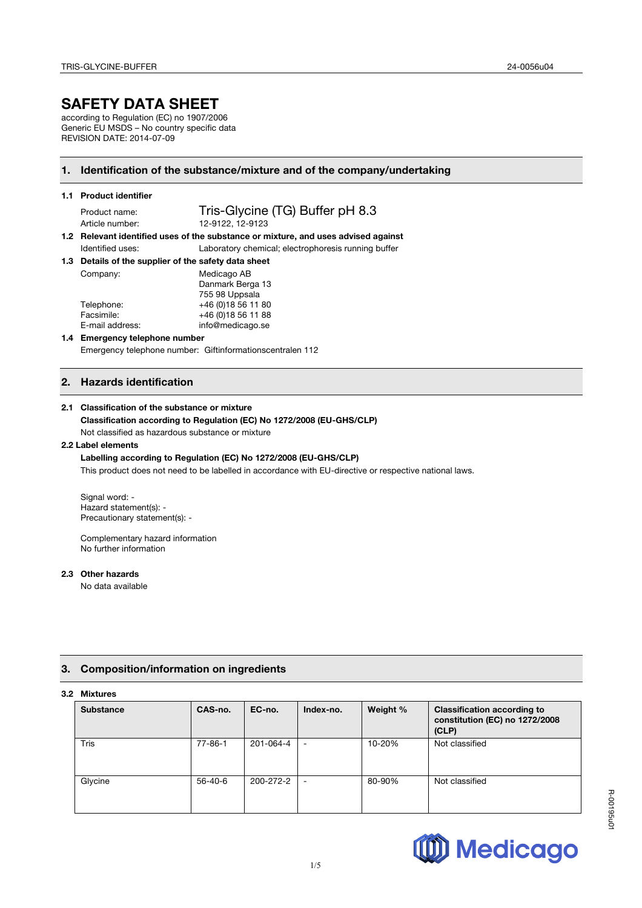# **SAFETY DATA SHEET**

according to Regulation (EC) no 1907/2006 Generic EU MSDS – No country specific data REVISION DATE: 2014-07-09

# **1. Identification of the substance/mixture and of the company/undertaking**

| 1.1 Product identifier |  |
|------------------------|--|
|------------------------|--|

Product name: Tris-Glycine (TG) Buffer pH 8.3 Article number: 12-9122, 12-9123

**1.2 Relevant identified uses of the substance or mixture, and uses advised against**  Identified uses: Laboratory chemical; electrophoresis running buffer

**1.3 Details of the supplier of the safety data sheet**

| Company:        | Medicago AB         |  |
|-----------------|---------------------|--|
|                 | Danmark Berga 13    |  |
|                 | 755 98 Uppsala      |  |
| Telephone:      | +46 (0) 18 56 11 80 |  |
| Facsimile:      | +46 (0) 18 56 11 88 |  |
| E-mail address: | info@medicago.se    |  |
|                 |                     |  |

#### **1.4 Emergency telephone number**  Emergency telephone number: Giftinformationscentralen 112

# **2. Hazards identification**

#### **2.1 Classification of the substance or mixture**

#### **Classification according to Regulation (EC) No 1272/2008 (EU-GHS/CLP)** Not classified as hazardous substance or mixture

# **2.2 Label elements**

**Labelling according to Regulation (EC) No 1272/2008 (EU-GHS/CLP)** This product does not need to be labelled in accordance with EU-directive or respective national laws.

Signal word: -Hazard statement(s): - Precautionary statement(s): -

Complementary hazard information No further information

## **2.3 Other hazards**

No data available

# **3. Composition/information on ingredients**

# **3.2 Mixtures**

| <b>Substance</b> | CAS-no.       | EC-no.    | Index-no.                | Weight % | <b>Classification according to</b><br>constitution (EC) no 1272/2008<br>(CLP) |
|------------------|---------------|-----------|--------------------------|----------|-------------------------------------------------------------------------------|
| Tris             | $77 - 86 - 1$ | 201-064-4 | $\overline{\phantom{a}}$ | 10-20%   | Not classified                                                                |
| Glycine          | 56-40-6       | 200-272-2 | $\overline{\phantom{a}}$ | 80-90%   | Not classified                                                                |

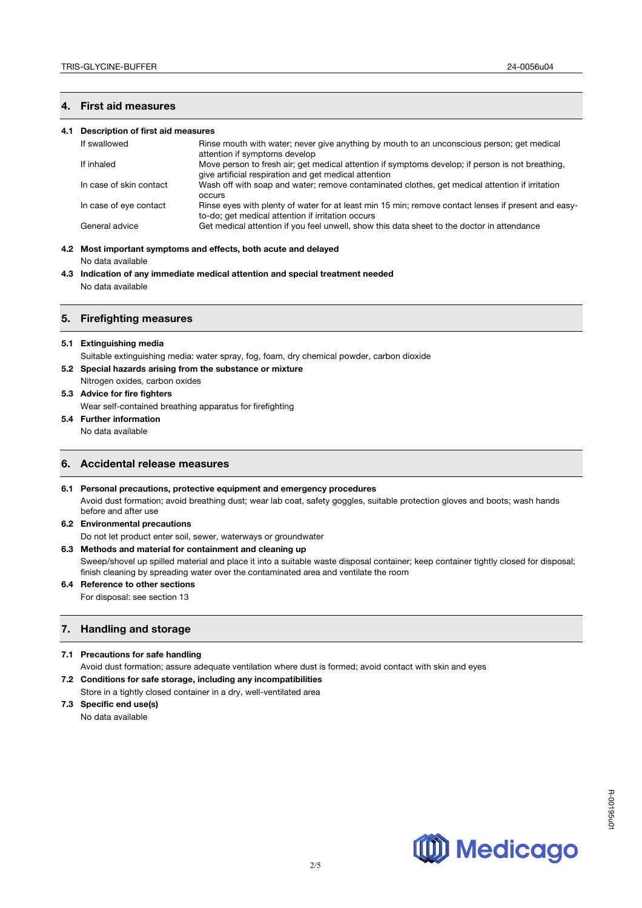## **4. First aid measures**

#### **4.1 Description of first aid measures**

| If swallowed            | Rinse mouth with water; never give anything by mouth to an unconscious person; get medical<br>attention if symptoms develop                               |
|-------------------------|-----------------------------------------------------------------------------------------------------------------------------------------------------------|
| If inhaled              | Move person to fresh air; get medical attention if symptoms develop; if person is not breathing,<br>give artificial respiration and get medical attention |
| In case of skin contact | Wash off with soap and water; remove contaminated clothes, get medical attention if irritation<br>occurs                                                  |
| In case of eye contact  | Rinse eyes with plenty of water for at least min 15 min; remove contact lenses if present and easy-<br>to-do; get medical attention if irritation occurs  |
| General advice          | Get medical attention if you feel unwell, show this data sheet to the doctor in attendance                                                                |

# **4.2 Most important symptoms and effects, both acute and delayed**

No data available

**4.3 Indication of any immediate medical attention and special treatment needed** No data available

#### **5. Firefighting measures**

#### **5.1 Extinguishing media**

- Suitable extinguishing media: water spray, fog, foam, dry chemical powder, carbon dioxide
- **5.2 Special hazards arising from the substance or mixture**
- Nitrogen oxides, carbon oxides

# **5.3 Advice for fire fighters**

Wear self-contained breathing apparatus for firefighting

- **5.4 Further information**
	- No data available

## **6. Accidental release measures**

**6.1 Personal precautions, protective equipment and emergency procedures** Avoid dust formation; avoid breathing dust; wear lab coat, safety goggles, suitable protection gloves and boots; wash hands before and after use

#### **6.2 Environmental precautions**

Do not let product enter soil, sewer, waterways or groundwater

## **6.3 Methods and material for containment and cleaning up**

Sweep/shovel up spilled material and place it into a suitable waste disposal container; keep container tightly closed for disposal; finish cleaning by spreading water over the contaminated area and ventilate the room

#### **6.4 Reference to other sections**  For disposal: see section 13

## **7. Handling and storage**

## **7.1 Precautions for safe handling**

Avoid dust formation; assure adequate ventilation where dust is formed; avoid contact with skin and eyes

**7.2 Conditions for safe storage, including any incompatibilities**  Store in a tightly closed container in a dry, well-ventilated area

#### **7.3 Specific end use(s)**

No data available



R-00195u01

R-00195u0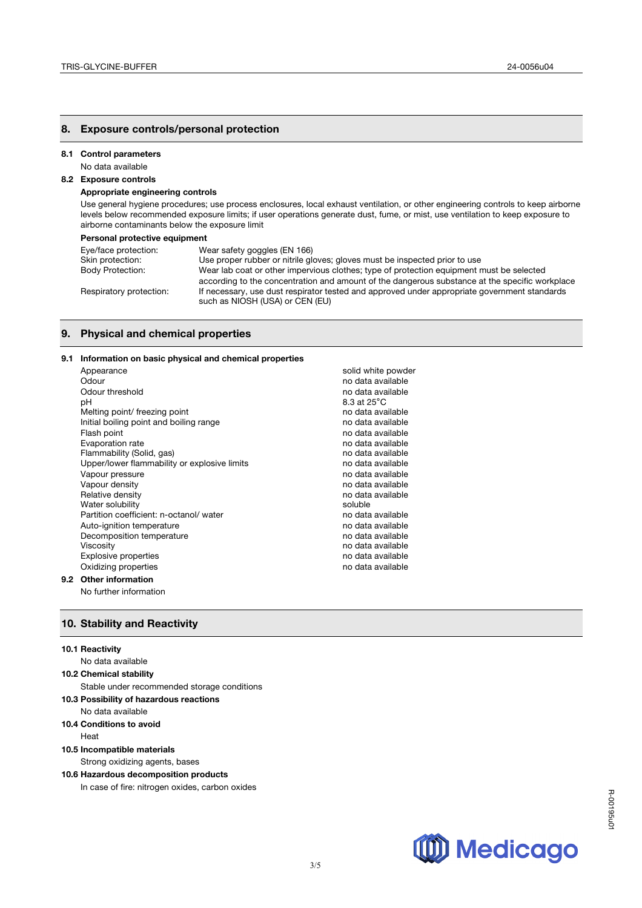## **8. Exposure controls/personal protection**

#### **8.1 Control parameters**

No data available

# **8.2 Exposure controls**

## **Appropriate engineering controls**

Use general hygiene procedures; use process enclosures, local exhaust ventilation, or other engineering controls to keep airborne levels below recommended exposure limits; if user operations generate dust, fume, or mist, use ventilation to keep exposure to airborne contaminants below the exposure limit

#### **Personal protective equipment**

| Eye/face protection:    | Wear safety goggles (EN 166)                                                                                                                                                               |
|-------------------------|--------------------------------------------------------------------------------------------------------------------------------------------------------------------------------------------|
| Skin protection:        | Use proper rubber or nitrile gloves; gloves must be inspected prior to use                                                                                                                 |
| <b>Body Protection:</b> | Wear lab coat or other impervious clothes; type of protection equipment must be selected<br>according to the concentration and amount of the dangerous substance at the specific workplace |
| Respiratory protection: | If necessary, use dust respirator tested and approved under appropriate government standards<br>such as NIOSH (USA) or CEN (EU)                                                            |

3/5

## **9. Physical and chemical properties**

### **9.1 Information on basic physical and chemical properties**

| Appearance                                   | solid white powder |
|----------------------------------------------|--------------------|
| Odour                                        | no data available  |
| Odour threshold                              | no data available  |
| рH                                           | 8.3 at 25°C        |
| Melting point/ freezing point                | no data available  |
| Initial boiling point and boiling range      | no data available  |
| Flash point                                  | no data available  |
| Evaporation rate                             | no data available  |
| Flammability (Solid, gas)                    | no data available  |
| Upper/lower flammability or explosive limits | no data available  |
| Vapour pressure                              | no data available  |
| Vapour density                               | no data available  |
| Relative density                             | no data available  |
| Water solubility                             | soluble            |
| Partition coefficient: n-octanol/water       | no data available  |
| Auto-ignition temperature                    | no data available  |
| Decomposition temperature                    | no data available  |
| Viscosity                                    | no data available  |
| <b>Explosive properties</b>                  | no data available  |
| Oxidizing properties                         | no data available  |
| <b>Other information</b>                     |                    |

## **9.2**

No further information

## **10. Stability and Reactivity**

#### **10.1 Reactivity**

#### No data available

**10.2 Chemical stability** 

Stable under recommended storage conditions

# **10.3 Possibility of hazardous reactions**

- No data available
- **10.4 Conditions to avoid**

Heat

# **10.5 Incompatible materials**

Strong oxidizing agents, bases

# **10.6 Hazardous decomposition products**

In case of fire: nitrogen oxides, carbon oxides

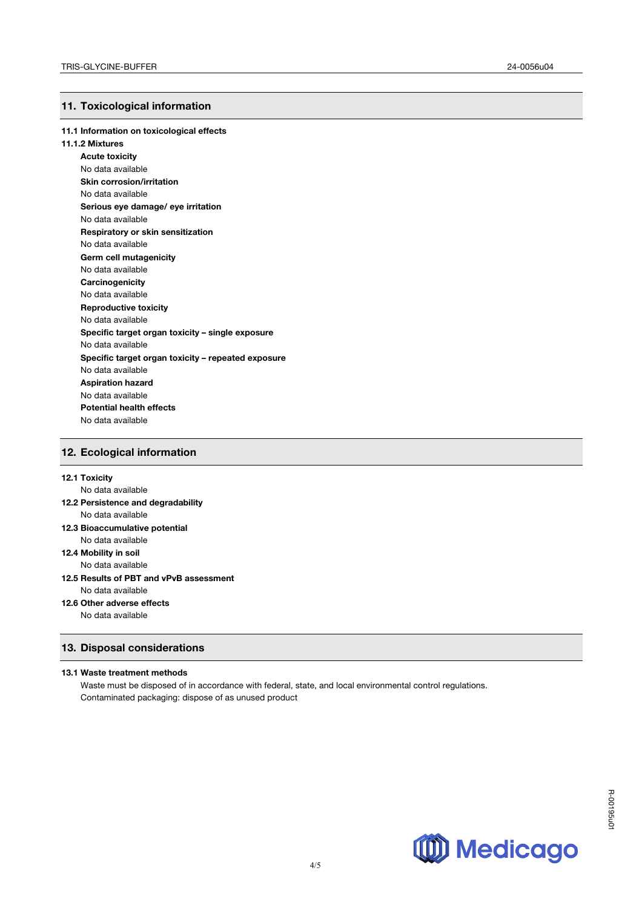# **11. Toxicological information**

#### **11.1 Information on toxicological effects**

#### **11.1.2 Mixtures**

**Acute toxicity** No data available **Skin corrosion/irritation** No data available **Serious eye damage/ eye irritation** No data available **Respiratory or skin sensitization** No data available **Germ cell mutagenicity** No data available **Carcinogenicity** No data available **Reproductive toxicity** No data available **Specific target organ toxicity – single exposure** No data available **Specific target organ toxicity – repeated exposure** No data available **Aspiration hazard** No data available **Potential health effects**  No data available

# **12. Ecological information**

#### **12.1 Toxicity**

No data available

#### **12.2 Persistence and degradability** No data available

- **12.3 Bioaccumulative potential** No data available
- **12.4 Mobility in soil**

No data available

#### **12.5 Results of PBT and vPvB assessment** No data available

**12.6 Other adverse effects**

No data available

## **13. Disposal considerations**

#### **13.1 Waste treatment methods**

Waste must be disposed of in accordance with federal, state, and local environmental control regulations. Contaminated packaging: dispose of as unused product